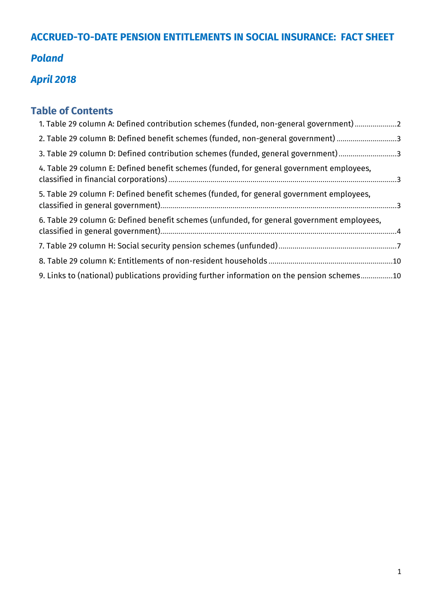# **ACCRUED-TO-DATE PENSION ENTITLEMENTS IN SOCIAL INSURANCE: FACT SHEET**

# *Poland*

# *April 2018*

# **Table of Contents**

| 1. Table 29 column A: Defined contribution schemes (funded, non-general government)2       |  |
|--------------------------------------------------------------------------------------------|--|
| 2. Table 29 column B: Defined benefit schemes (funded, non-general government) 3           |  |
| 3. Table 29 column D: Defined contribution schemes (funded, general government)3           |  |
| 4. Table 29 column E: Defined benefit schemes (funded, for general government employees,   |  |
| 5. Table 29 column F: Defined benefit schemes (funded, for general government employees,   |  |
| 6. Table 29 column G: Defined benefit schemes (unfunded, for general government employees, |  |
|                                                                                            |  |
|                                                                                            |  |
| 9. Links to (national) publications providing further information on the pension schemes10 |  |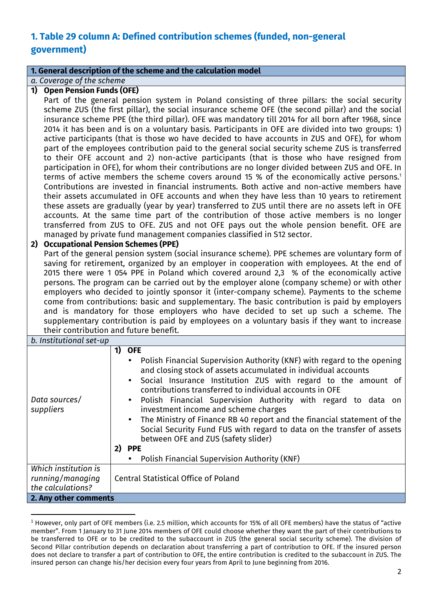# **1. Table 29 column A: Defined contribution schemes (funded, non-general government)**

#### **1. General description of the scheme and the calculation model**

*a. Coverage of the scheme*

#### **1) Open Pension Funds (OFE)**

Part of the general pension system in Poland consisting of three pillars: the social security scheme ZUS (the first pillar), the social insurance scheme OFE (the second pillar) and the social insurance scheme PPE (the third pillar). OFE was mandatory till 2014 for all born after 1968, since 2014 it has been and is on a voluntary basis. Participants in OFE are divided into two groups: 1) active participants (that is those wo have decided to have accounts in ZUS and OFE), for whom part of the employees contribution paid to the general social security scheme ZUS is transferred to their OFE account and 2) non-active participants (that is those who have resigned from participation in OFE), for whom their contributions are no longer divided between ZUS and OFE. In terms of active members the scheme covers around 15 % of the economically active persons.<sup>1</sup> Contributions are invested in financial instruments. Both active and non-active members have their assets accumulated in OFE accounts and when they have less than 10 years to retirement these assets are gradually (year by year) transferred to ZUS until there are no assets left in OFE accounts. At the same time part of the contribution of those active members is no longer transferred from ZUS to OFE. ZUS and not OFE pays out the whole pension benefit. OFE are managed by private fund management companies classified in S12 sector.

#### **2) Occupational Pension Schemes (PPE)**

Part of the general pension system (social insurance scheme). PPE schemes are voluntary form of saving for retirement, organized by an employer in cooperation with employees. At the end of 2015 there were 1 054 PPE in Poland which covered around 2,3 % of the economically active persons. The program can be carried out by the employer alone (company scheme) or with other employers who decided to jointly sponsor it (inter-company scheme). Payments to the scheme come from contributions: basic and supplementary. The basic contribution is paid by employers and is mandatory for those employers who have decided to set up such a scheme. The supplementary contribution is paid by employees on a voluntary basis if they want to increase their contribution and future benefit.

| b. Institutional set-up |  |
|-------------------------|--|

l

| <u>D. MISULULIONUL SEL-UD</u>                                 |                                                                                                                                                                                                                                                                                                                                                                                                                                                                                                                                                                                                                                                          |
|---------------------------------------------------------------|----------------------------------------------------------------------------------------------------------------------------------------------------------------------------------------------------------------------------------------------------------------------------------------------------------------------------------------------------------------------------------------------------------------------------------------------------------------------------------------------------------------------------------------------------------------------------------------------------------------------------------------------------------|
| Data sources/<br>suppliers                                    | <b>OFE</b><br>1)<br>Polish Financial Supervision Authority (KNF) with regard to the opening<br>and closing stock of assets accumulated in individual accounts<br>Social Insurance Institution ZUS with regard to the amount of<br>contributions transferred to individual accounts in OFE<br>Polish Financial Supervision Authority with regard to data on<br>investment income and scheme charges<br>The Ministry of Finance RB 40 report and the financial statement of the<br>Social Security Fund FUS with regard to data on the transfer of assets<br>between OFE and ZUS (safety slider)<br>2) PPE<br>Polish Financial Supervision Authority (KNF) |
| Which institution is<br>running/managing<br>the calculations? | <b>Central Statistical Office of Poland</b>                                                                                                                                                                                                                                                                                                                                                                                                                                                                                                                                                                                                              |
| 2. Any other comments                                         |                                                                                                                                                                                                                                                                                                                                                                                                                                                                                                                                                                                                                                                          |

 $1$  However, only part of OFE members (i.e. 2.5 million, which accounts for 15% of all OFE members) have the status of "active member". From 1 January to 31 June 2014 members of OFE could choose whether they want the part of their contributions to be transferred to OFE or to be credited to the subaccount in ZUS (the general social security scheme). The division of Second Pillar contribution depends on declaration about transferring a part of contribution to OFE. If the insured person does not declare to transfer a part of contribution to OFE, the entire contribution is credited to the subaccount in ZUS. The insured person can change his/her decision every four years from April to June beginning from 2016.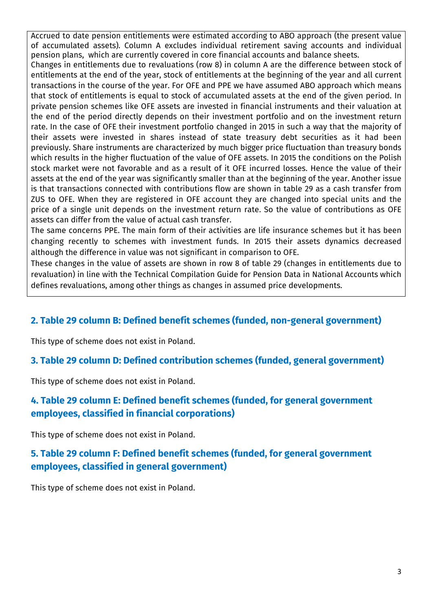Accrued to date pension entitlements were estimated according to ABO approach (the present value of accumulated assets). Column A excludes individual retirement saving accounts and individual pension plans, which are currently covered in core financial accounts and balance sheets.

Changes in entitlements due to revaluations (row 8) in column A are the difference between stock of entitlements at the end of the year, stock of entitlements at the beginning of the year and all current transactions in the course of the year. For OFE and PPE we have assumed ABO approach which means that stock of entitlements is equal to stock of accumulated assets at the end of the given period. In private pension schemes like OFE assets are invested in financial instruments and their valuation at the end of the period directly depends on their investment portfolio and on the investment return rate. In the case of OFE their investment portfolio changed in 2015 in such a way that the majority of their assets were invested in shares instead of state treasury debt securities as it had been previously. Share instruments are characterized by much bigger price fluctuation than treasury bonds which results in the higher fluctuation of the value of OFE assets. In 2015 the conditions on the Polish stock market were not favorable and as a result of it OFE incurred losses. Hence the value of their assets at the end of the year was significantly smaller than at the beginning of the year. Another issue is that transactions connected with contributions flow are shown in table 29 as a cash transfer from ZUS to OFE. When they are registered in OFE account they are changed into special units and the price of a single unit depends on the investment return rate. So the value of contributions as OFE assets can differ from the value of actual cash transfer.

The same concerns PPE. The main form of their activities are life insurance schemes but it has been changing recently to schemes with investment funds. In 2015 their assets dynamics decreased although the difference in value was not significant in comparison to OFE.

These changes in the value of assets are shown in row 8 of table 29 (changes in entitlements due to revaluation) in line with the Technical Compilation Guide for Pension Data in National Accounts which defines revaluations, among other things as changes in assumed price developments.

### **2. Table 29 column B: Defined benefit schemes (funded, non-general government)**

This type of scheme does not exist in Poland.

### **3. Table 29 column D: Defined contribution schemes (funded, general government)**

This type of scheme does not exist in Poland.

## **4. Table 29 column E: Defined benefit schemes (funded, for general government employees, classified in financial corporations)**

This type of scheme does not exist in Poland.

## **5. Table 29 column F: Defined benefit schemes (funded, for general government employees, classified in general government)**

This type of scheme does not exist in Poland.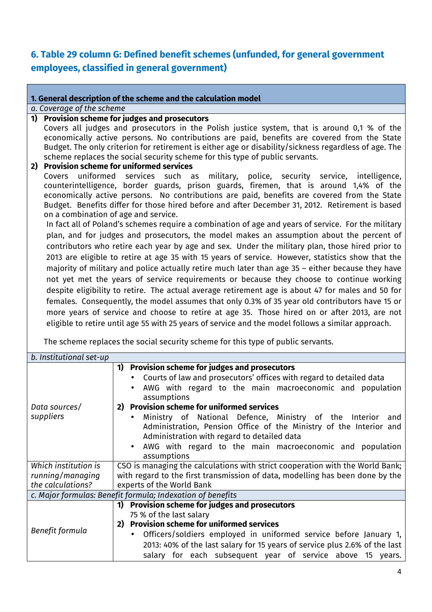## **6. Table 29 column G: Defined benefit schemes (unfunded, for general government employees, classified in general government)**

#### **1. General description of the scheme and the calculation model**

#### *a. Coverage of the scheme*

# **1) Provision scheme for judges and prosecutors**

Covers all judges and prosecutors in the Polish justice system, that is around 0,1 % of the economically active persons. No contributions are paid, benefits are covered from the State Budget. The only criterion for retirement is either age or disability/sickness regardless of age. The scheme replaces the social security scheme for this type of public servants.

#### **2) Provision scheme for uniformed services**

Covers uniformed services such as military, police, security service, intelligence, counterintelligence, border guards, prison guards, firemen, that is around 1,4% of the economically active persons. No contributions are paid, benefits are covered from the State Budget. Benefits differ for those hired before and after December 31, 2012. Retirement is based on a combination of age and service.

In fact all of Poland's schemes require a combination of age and years of service. For the military plan, and for judges and prosecutors, the model makes an assumption about the percent of contributors who retire each year by age and sex. Under the military plan, those hired prior to 2013 are eligible to retire at age 35 with 15 years of service. However, statistics show that the majority of military and police actually retire much later than age 35 – either because they have not yet met the years of service requirements or because they choose to continue working despite eligibility to retire. The actual average retirement age is about 47 for males and 50 for females. Consequently, the model assumes that only 0.3% of 35 year old contributors have 15 or more years of service and choose to retire at age 35. Those hired on or after 2013, are not eligible to retire until age 55 with 25 years of service and the model follows a similar approach.

The scheme replaces the social security scheme for this type of public servants.

| b. Institutional set-up                                    |                                                                               |
|------------------------------------------------------------|-------------------------------------------------------------------------------|
|                                                            | <b>Provision scheme for judges and prosecutors</b><br>1)                      |
|                                                            | Courts of law and prosecutors' offices with regard to detailed data           |
|                                                            | AWG with regard to the main macroeconomic and population                      |
|                                                            | assumptions                                                                   |
| Data sources/                                              | 2) Provision scheme for uniformed services                                    |
| suppliers                                                  | Ministry of National Defence, Ministry of the Interior and                    |
|                                                            | Administration, Pension Office of the Ministry of the Interior and            |
|                                                            | Administration with regard to detailed data                                   |
|                                                            | AWG with regard to the main macroeconomic and population                      |
|                                                            | assumptions                                                                   |
| Which institution is                                       | CSO is managing the calculations with strict cooperation with the World Bank; |
| running/managing                                           | with regard to the first transmission of data, modelling has been done by the |
| the calculations?                                          | experts of the World Bank                                                     |
| c. Major formulas: Benefit formula; Indexation of benefits |                                                                               |
| Benefit formula                                            | <b>Provision scheme for judges and prosecutors</b><br>1)                      |
|                                                            | 75 % of the last salary                                                       |
|                                                            | <b>Provision scheme for uniformed services</b><br>2)                          |
|                                                            | Officers/soldiers employed in uniformed service before January 1,             |
|                                                            | 2013: 40% of the last salary for 15 years of service plus 2.6% of the last    |
|                                                            | salary for each subsequent year of service above 15 years.                    |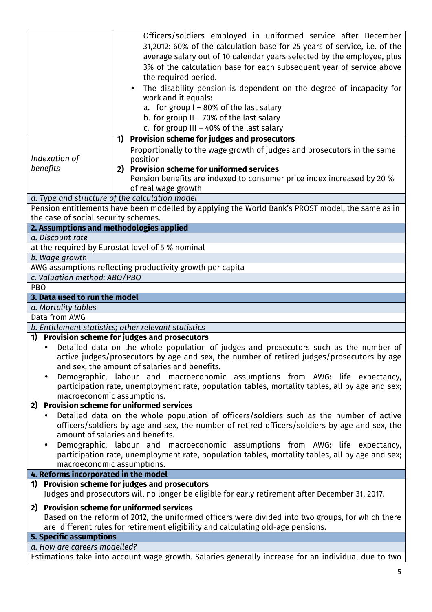|                                                                                         | Officers/soldiers employed in uniformed service after December                                                                                    |  |
|-----------------------------------------------------------------------------------------|---------------------------------------------------------------------------------------------------------------------------------------------------|--|
|                                                                                         | 31,2012: 60% of the calculation base for 25 years of service, i.e. of the                                                                         |  |
|                                                                                         | average salary out of 10 calendar years selected by the employee, plus                                                                            |  |
|                                                                                         | 3% of the calculation base for each subsequent year of service above                                                                              |  |
|                                                                                         | the required period.                                                                                                                              |  |
|                                                                                         |                                                                                                                                                   |  |
|                                                                                         | The disability pension is dependent on the degree of incapacity for<br>work and it equals:                                                        |  |
|                                                                                         |                                                                                                                                                   |  |
|                                                                                         | a. for group I - 80% of the last salary                                                                                                           |  |
|                                                                                         | b. for group $II - 70\%$ of the last salary                                                                                                       |  |
|                                                                                         | c. for group $III - 40\%$ of the last salary                                                                                                      |  |
|                                                                                         | <b>Provision scheme for judges and prosecutors</b><br>1)                                                                                          |  |
|                                                                                         | Proportionally to the wage growth of judges and prosecutors in the same                                                                           |  |
| Indexation of                                                                           | position                                                                                                                                          |  |
| benefits                                                                                | 2) Provision scheme for uniformed services                                                                                                        |  |
|                                                                                         | Pension benefits are indexed to consumer price index increased by 20 %                                                                            |  |
|                                                                                         | of real wage growth                                                                                                                               |  |
|                                                                                         | d. Type and structure of the calculation model                                                                                                    |  |
|                                                                                         | Pension entitlements have been modelled by applying the World Bank's PROST model, the same as in                                                  |  |
| the case of social security schemes.                                                    |                                                                                                                                                   |  |
| 2. Assumptions and methodologies applied                                                |                                                                                                                                                   |  |
| a. Discount rate                                                                        |                                                                                                                                                   |  |
|                                                                                         | at the required by Eurostat level of 5 % nominal                                                                                                  |  |
| b. Wage growth                                                                          |                                                                                                                                                   |  |
|                                                                                         | AWG assumptions reflecting productivity growth per capita                                                                                         |  |
| c. Valuation method: ABO/PBO                                                            |                                                                                                                                                   |  |
| <b>PBO</b>                                                                              |                                                                                                                                                   |  |
| 3. Data used to run the model                                                           |                                                                                                                                                   |  |
| a. Mortality tables                                                                     |                                                                                                                                                   |  |
| Data from AWG                                                                           |                                                                                                                                                   |  |
|                                                                                         | b. Entitlement statistics; other relevant statistics                                                                                              |  |
|                                                                                         | 1) Provision scheme for judges and prosecutors                                                                                                    |  |
|                                                                                         | Detailed data on the whole population of judges and prosecutors such as the number of                                                             |  |
|                                                                                         | active judges/prosecutors by age and sex, the number of retired judges/prosecutors by age<br>and sex, the amount of salaries and benefits.        |  |
|                                                                                         | Demographic, labour and macroeconomic assumptions from AWG: life expectancy,                                                                      |  |
|                                                                                         | participation rate, unemployment rate, population tables, mortality tables, all by age and sex;                                                   |  |
| macroeconomic assumptions.                                                              |                                                                                                                                                   |  |
| 2) Provision scheme for uniformed services                                              |                                                                                                                                                   |  |
|                                                                                         |                                                                                                                                                   |  |
| Detailed data on the whole population of officers/soldiers such as the number of active |                                                                                                                                                   |  |
|                                                                                         |                                                                                                                                                   |  |
|                                                                                         | officers/soldiers by age and sex, the number of retired officers/soldiers by age and sex, the                                                     |  |
|                                                                                         | amount of salaries and benefits.                                                                                                                  |  |
|                                                                                         | Demographic, labour and macroeconomic assumptions from AWG: life expectancy,                                                                      |  |
|                                                                                         | participation rate, unemployment rate, population tables, mortality tables, all by age and sex;                                                   |  |
| macroeconomic assumptions.                                                              |                                                                                                                                                   |  |
| 4. Reforms incorporated in the model                                                    |                                                                                                                                                   |  |
|                                                                                         | 1) Provision scheme for judges and prosecutors<br>Judges and prosecutors will no longer be eligible for early retirement after December 31, 2017. |  |
| 2) Provision scheme for uniformed services                                              |                                                                                                                                                   |  |
|                                                                                         | Based on the reform of 2012, the uniformed officers were divided into two groups, for which there                                                 |  |
|                                                                                         | are different rules for retirement eligibility and calculating old-age pensions.                                                                  |  |
| <b>5. Specific assumptions</b>                                                          |                                                                                                                                                   |  |
| a. How are careers modelled?                                                            |                                                                                                                                                   |  |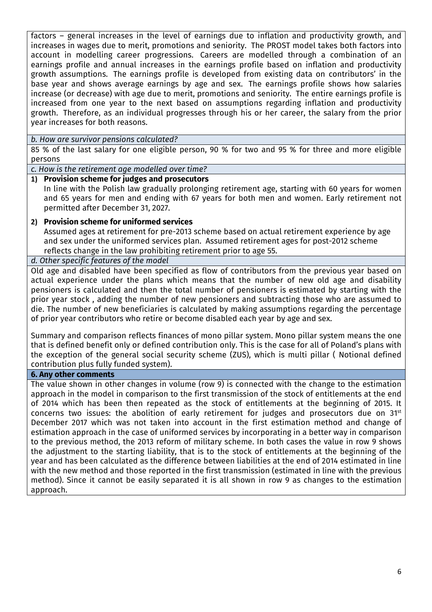factors – general increases in the level of earnings due to inflation and productivity growth, and increases in wages due to merit, promotions and seniority. The PROST model takes both factors into account in modelling career progressions. Careers are modelled through a combination of an earnings profile and annual increases in the earnings profile based on inflation and productivity growth assumptions. The earnings profile is developed from existing data on contributors' in the base year and shows average earnings by age and sex. The earnings profile shows how salaries increase (or decrease) with age due to merit, promotions and seniority. The entire earnings profile is increased from one year to the next based on assumptions regarding inflation and productivity growth. Therefore, as an individual progresses through his or her career, the salary from the prior year increases for both reasons.

#### *b. How are survivor pensions calculated?*

85 % of the last salary for one eligible person, 90 % for two and 95 % for three and more eligible persons

*c. How is the retirement age modelled over time?*

#### **1) Provision scheme for judges and prosecutors**

In line with the Polish law gradually prolonging retirement age, starting with 60 years for women and 65 years for men and ending with 67 years for both men and women. Early retirement not permitted after December 31, 2027.

#### **2) Provision scheme for uniformed services**

Assumed ages at retirement for pre-2013 scheme based on actual retirement experience by age and sex under the uniformed services plan. Assumed retirement ages for post-2012 scheme reflects change in the law prohibiting retirement prior to age 55.

#### *d. Other specific features of the model*

Old age and disabled have been specified as flow of contributors from the previous year based on actual experience under the plans which means that the number of new old age and disability pensioners is calculated and then the total number of pensioners is estimated by starting with the prior year stock , adding the number of new pensioners and subtracting those who are assumed to die. The number of new beneficiaries is calculated by making assumptions regarding the percentage of prior year contributors who retire or become disabled each year by age and sex.

Summary and comparison reflects finances of mono pillar system. Mono pillar system means the one that is defined benefit only or defined contribution only. This is the case for all of Poland's plans with the exception of the general social security scheme (ZUS), which is multi pillar ( Notional defined contribution plus fully funded system).

#### **6. Any other comments**

The value shown in other changes in volume (row 9) is connected with the change to the estimation approach in the model in comparison to the first transmission of the stock of entitlements at the end of 2014 which has been then repeated as the stock of entitlements at the beginning of 2015. It concerns two issues: the abolition of early retirement for judges and prosecutors due on 31st December 2017 which was not taken into account in the first estimation method and change of estimation approach in the case of uniformed services by incorporating in a better way in comparison to the previous method, the 2013 reform of military scheme. In both cases the value in row 9 shows the adjustment to the starting liability, that is to the stock of entitlements at the beginning of the year and has been calculated as the difference between liabilities at the end of 2014 estimated in line with the new method and those reported in the first transmission (estimated in line with the previous method). Since it cannot be easily separated it is all shown in row 9 as changes to the estimation approach.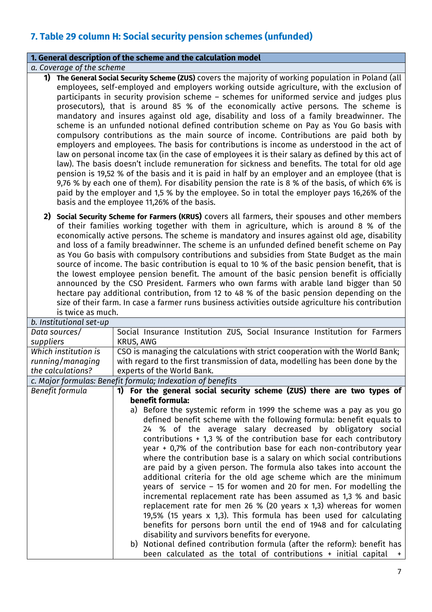# **7. Table 29 column H: Social security pension schemes (unfunded)**

#### **1. General description of the scheme and the calculation model**

*a. Coverage of the scheme*

- **1) The General Social Security Scheme (ZUS)** covers the majority of working population in Poland (all employees, self-employed and employers working outside agriculture, with the exclusion of participants in security provision scheme – schemes for uniformed service and judges plus prosecutors), that is around 85 % of the economically active persons. The scheme is mandatory and insures against old age, disability and loss of a family breadwinner. The scheme is an unfunded notional defined contribution scheme on Pay as You Go basis with compulsory contributions as the main source of income. Contributions are paid both by employers and employees. The basis for contributions is income as understood in the act of law on personal income tax (in the case of employees it is their salary as defined by this act of law). The basis doesn't include remuneration for sickness and benefits. The total for old age pension is 19,52 % of the basis and it is paid in half by an employer and an employee (that is 9,76 % by each one of them). For disability pension the rate is 8 % of the basis, of which 6% is paid by the employer and 1,5 % by the employee. So in total the employer pays 16,26% of the basis and the employee 11,26% of the basis.
- **2) Social Security Scheme for Farmers (KRUS)** covers all farmers, their spouses and other members of their families working together with them in agriculture, which is around 8 % of the economically active persons. The scheme is mandatory and insures against old age, disability and loss of a family breadwinner. The scheme is an unfunded defined benefit scheme on Pay as You Go basis with compulsory contributions and subsidies from State Budget as the main source of income. The basic contribution is equal to 10 % of the basic pension benefit, that is the lowest employee pension benefit. The amount of the basic pension benefit is officially announced by the CSO President. Farmers who own farms with arable land bigger than 50 hectare pay additional contribution, from 12 to 48 % of the basic pension depending on the size of their farm. In case a farmer runs business activities outside agriculture his contribution is twice as much.

| b. Institutional set-up |                                                                               |
|-------------------------|-------------------------------------------------------------------------------|
| Data sources/           | Social Insurance Institution ZUS, Social Insurance Institution for Farmers    |
| suppliers               | <b>KRUS, AWG</b>                                                              |
| Which institution is    | CSO is managing the calculations with strict cooperation with the World Bank; |
| running/managing        | with regard to the first transmission of data, modelling has been done by the |
| the calculations?       | experts of the World Bank.                                                    |
|                         | c. Major formulas: Benefit formula; Indexation of benefits                    |
| Benefit formula         | For the general social security scheme (ZUS) there are two types of<br>1)     |
|                         | benefit formula:                                                              |
|                         | Before the systemic reform in 1999 the scheme was a pay as you go             |
|                         | defined benefit scheme with the following formula: benefit equals to          |
|                         | 24 % of the average salary decreased by obligatory social                     |
|                         | contributions $+$ 1,3 % of the contribution base for each contributory        |
|                         | year $+$ 0,7% of the contribution base for each non-contributory year         |
|                         | where the contribution base is a salary on which social contributions         |
|                         | are paid by a given person. The formula also takes into account the           |
|                         | additional criteria for the old age scheme which are the minimum              |
|                         | years of service $-15$ for women and 20 for men. For modelling the            |
|                         | incremental replacement rate has been assumed as 1,3 % and basic              |
|                         | replacement rate for men 26 % (20 years $x$ 1,3) whereas for women            |
|                         | 19,5% (15 years x 1,3). This formula has been used for calculating            |
|                         | benefits for persons born until the end of 1948 and for calculating           |
|                         | disability and survivors benefits for everyone.                               |
|                         | Notional defined contribution formula (after the reform): benefit has<br>b)   |
|                         | been calculated as the total of contributions + initial capital<br>$+$        |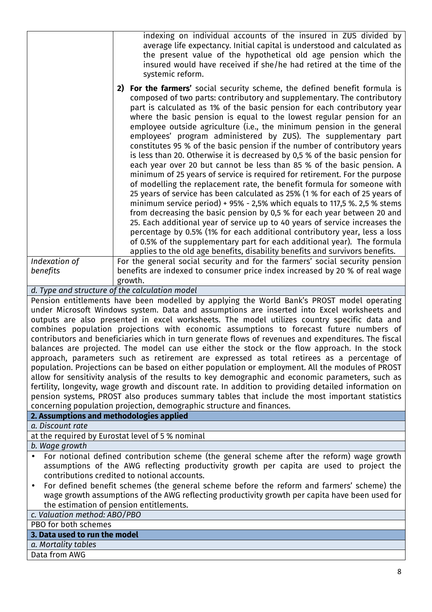|                                                                                                                                                                                                                                                                                                                                                                                                                                                                                                                                                                                                                                                                                             | indexing on individual accounts of the insured in ZUS divided by<br>average life expectancy. Initial capital is understood and calculated as<br>the present value of the hypothetical old age pension which the<br>insured would have received if she/he had retired at the time of the<br>systemic reform.                                                                                                                                                                                                                                                                                                                                                                                                                                                                                                                                                                                                                                                                                                                                                                                                                                                                                                                                                                                                                                                                                                               |  |
|---------------------------------------------------------------------------------------------------------------------------------------------------------------------------------------------------------------------------------------------------------------------------------------------------------------------------------------------------------------------------------------------------------------------------------------------------------------------------------------------------------------------------------------------------------------------------------------------------------------------------------------------------------------------------------------------|---------------------------------------------------------------------------------------------------------------------------------------------------------------------------------------------------------------------------------------------------------------------------------------------------------------------------------------------------------------------------------------------------------------------------------------------------------------------------------------------------------------------------------------------------------------------------------------------------------------------------------------------------------------------------------------------------------------------------------------------------------------------------------------------------------------------------------------------------------------------------------------------------------------------------------------------------------------------------------------------------------------------------------------------------------------------------------------------------------------------------------------------------------------------------------------------------------------------------------------------------------------------------------------------------------------------------------------------------------------------------------------------------------------------------|--|
|                                                                                                                                                                                                                                                                                                                                                                                                                                                                                                                                                                                                                                                                                             | For the farmers' social security scheme, the defined benefit formula is<br>2)<br>composed of two parts: contributory and supplementary. The contributory<br>part is calculated as 1% of the basic pension for each contributory year<br>where the basic pension is equal to the lowest regular pension for an<br>employee outside agriculture (i.e., the minimum pension in the general<br>employees' program administered by ZUS). The supplementary part<br>constitutes 95 % of the basic pension if the number of contributory years<br>is less than 20. Otherwise it is decreased by 0,5 % of the basic pension for<br>each year over 20 but cannot be less than 85 % of the basic pension. A<br>minimum of 25 years of service is required for retirement. For the purpose<br>of modelling the replacement rate, the benefit formula for someone with<br>25 years of service has been calculated as 25% (1 % for each of 25 years of<br>minimum service period) + 95% - 2,5% which equals to 117,5 %. 2,5 % stems<br>from decreasing the basic pension by 0,5 % for each year between 20 and<br>25. Each additional year of service up to 40 years of service increases the<br>percentage by 0.5% (1% for each additional contributory year, less a loss<br>of 0.5% of the supplementary part for each additional year). The formula<br>applies to the old age benefits, disability benefits and survivors benefits. |  |
| Indexation of                                                                                                                                                                                                                                                                                                                                                                                                                                                                                                                                                                                                                                                                               | For the general social security and for the farmers' social security pension                                                                                                                                                                                                                                                                                                                                                                                                                                                                                                                                                                                                                                                                                                                                                                                                                                                                                                                                                                                                                                                                                                                                                                                                                                                                                                                                              |  |
| benefits                                                                                                                                                                                                                                                                                                                                                                                                                                                                                                                                                                                                                                                                                    | benefits are indexed to consumer price index increased by 20 % of real wage                                                                                                                                                                                                                                                                                                                                                                                                                                                                                                                                                                                                                                                                                                                                                                                                                                                                                                                                                                                                                                                                                                                                                                                                                                                                                                                                               |  |
|                                                                                                                                                                                                                                                                                                                                                                                                                                                                                                                                                                                                                                                                                             | growth.                                                                                                                                                                                                                                                                                                                                                                                                                                                                                                                                                                                                                                                                                                                                                                                                                                                                                                                                                                                                                                                                                                                                                                                                                                                                                                                                                                                                                   |  |
|                                                                                                                                                                                                                                                                                                                                                                                                                                                                                                                                                                                                                                                                                             | d. Type and structure of the calculation model                                                                                                                                                                                                                                                                                                                                                                                                                                                                                                                                                                                                                                                                                                                                                                                                                                                                                                                                                                                                                                                                                                                                                                                                                                                                                                                                                                            |  |
| Pension entitlements have been modelled by applying the World Bank's PROST model operating<br>under Microsoft Windows system. Data and assumptions are inserted into Excel worksheets and<br>outputs are also presented in excel worksheets. The model utilizes country specific data and<br>combines population projections with economic assumptions to forecast future numbers of<br>contributors and beneficiaries which in turn generate flows of revenues and expenditures. The fiscal<br>balances are projected. The model can use either the stock or the flow approach. In the stock<br>approach, parameters such as retirement are expressed as total retirees as a percentage of |                                                                                                                                                                                                                                                                                                                                                                                                                                                                                                                                                                                                                                                                                                                                                                                                                                                                                                                                                                                                                                                                                                                                                                                                                                                                                                                                                                                                                           |  |
|                                                                                                                                                                                                                                                                                                                                                                                                                                                                                                                                                                                                                                                                                             | population. Projections can be based on either population or employment. All the modules of PROST                                                                                                                                                                                                                                                                                                                                                                                                                                                                                                                                                                                                                                                                                                                                                                                                                                                                                                                                                                                                                                                                                                                                                                                                                                                                                                                         |  |
|                                                                                                                                                                                                                                                                                                                                                                                                                                                                                                                                                                                                                                                                                             | allow for sensitivity analysis of the results to key demographic and economic parameters, such as                                                                                                                                                                                                                                                                                                                                                                                                                                                                                                                                                                                                                                                                                                                                                                                                                                                                                                                                                                                                                                                                                                                                                                                                                                                                                                                         |  |
|                                                                                                                                                                                                                                                                                                                                                                                                                                                                                                                                                                                                                                                                                             | fertility, longevity, wage growth and discount rate. In addition to providing detailed information on                                                                                                                                                                                                                                                                                                                                                                                                                                                                                                                                                                                                                                                                                                                                                                                                                                                                                                                                                                                                                                                                                                                                                                                                                                                                                                                     |  |
|                                                                                                                                                                                                                                                                                                                                                                                                                                                                                                                                                                                                                                                                                             | pension systems, PROST also produces summary tables that include the most important statistics                                                                                                                                                                                                                                                                                                                                                                                                                                                                                                                                                                                                                                                                                                                                                                                                                                                                                                                                                                                                                                                                                                                                                                                                                                                                                                                            |  |
| 2. Assumptions and methodologies applied                                                                                                                                                                                                                                                                                                                                                                                                                                                                                                                                                                                                                                                    | concerning population projection, demographic structure and finances.                                                                                                                                                                                                                                                                                                                                                                                                                                                                                                                                                                                                                                                                                                                                                                                                                                                                                                                                                                                                                                                                                                                                                                                                                                                                                                                                                     |  |
| a. Discount rate                                                                                                                                                                                                                                                                                                                                                                                                                                                                                                                                                                                                                                                                            |                                                                                                                                                                                                                                                                                                                                                                                                                                                                                                                                                                                                                                                                                                                                                                                                                                                                                                                                                                                                                                                                                                                                                                                                                                                                                                                                                                                                                           |  |
|                                                                                                                                                                                                                                                                                                                                                                                                                                                                                                                                                                                                                                                                                             | at the required by Eurostat level of 5 % nominal                                                                                                                                                                                                                                                                                                                                                                                                                                                                                                                                                                                                                                                                                                                                                                                                                                                                                                                                                                                                                                                                                                                                                                                                                                                                                                                                                                          |  |
| b. Wage growth                                                                                                                                                                                                                                                                                                                                                                                                                                                                                                                                                                                                                                                                              |                                                                                                                                                                                                                                                                                                                                                                                                                                                                                                                                                                                                                                                                                                                                                                                                                                                                                                                                                                                                                                                                                                                                                                                                                                                                                                                                                                                                                           |  |
|                                                                                                                                                                                                                                                                                                                                                                                                                                                                                                                                                                                                                                                                                             |                                                                                                                                                                                                                                                                                                                                                                                                                                                                                                                                                                                                                                                                                                                                                                                                                                                                                                                                                                                                                                                                                                                                                                                                                                                                                                                                                                                                                           |  |
| For notional defined contribution scheme (the general scheme after the reform) wage growth<br>$\bullet$                                                                                                                                                                                                                                                                                                                                                                                                                                                                                                                                                                                     |                                                                                                                                                                                                                                                                                                                                                                                                                                                                                                                                                                                                                                                                                                                                                                                                                                                                                                                                                                                                                                                                                                                                                                                                                                                                                                                                                                                                                           |  |
| assumptions of the AWG reflecting productivity growth per capita are used to project the<br>contributions credited to notional accounts.                                                                                                                                                                                                                                                                                                                                                                                                                                                                                                                                                    |                                                                                                                                                                                                                                                                                                                                                                                                                                                                                                                                                                                                                                                                                                                                                                                                                                                                                                                                                                                                                                                                                                                                                                                                                                                                                                                                                                                                                           |  |
| $\bullet$                                                                                                                                                                                                                                                                                                                                                                                                                                                                                                                                                                                                                                                                                   | For defined benefit schemes (the general scheme before the reform and farmers' scheme) the                                                                                                                                                                                                                                                                                                                                                                                                                                                                                                                                                                                                                                                                                                                                                                                                                                                                                                                                                                                                                                                                                                                                                                                                                                                                                                                                |  |
| wage growth assumptions of the AWG reflecting productivity growth per capita have been used for                                                                                                                                                                                                                                                                                                                                                                                                                                                                                                                                                                                             |                                                                                                                                                                                                                                                                                                                                                                                                                                                                                                                                                                                                                                                                                                                                                                                                                                                                                                                                                                                                                                                                                                                                                                                                                                                                                                                                                                                                                           |  |
|                                                                                                                                                                                                                                                                                                                                                                                                                                                                                                                                                                                                                                                                                             | the estimation of pension entitlements.                                                                                                                                                                                                                                                                                                                                                                                                                                                                                                                                                                                                                                                                                                                                                                                                                                                                                                                                                                                                                                                                                                                                                                                                                                                                                                                                                                                   |  |
| c. Valuation method: ABO/PBO                                                                                                                                                                                                                                                                                                                                                                                                                                                                                                                                                                                                                                                                |                                                                                                                                                                                                                                                                                                                                                                                                                                                                                                                                                                                                                                                                                                                                                                                                                                                                                                                                                                                                                                                                                                                                                                                                                                                                                                                                                                                                                           |  |
|                                                                                                                                                                                                                                                                                                                                                                                                                                                                                                                                                                                                                                                                                             |                                                                                                                                                                                                                                                                                                                                                                                                                                                                                                                                                                                                                                                                                                                                                                                                                                                                                                                                                                                                                                                                                                                                                                                                                                                                                                                                                                                                                           |  |

PBO for both schemes

# **3. Data used to run the model**

*a. Mortality tables*

Data from AWG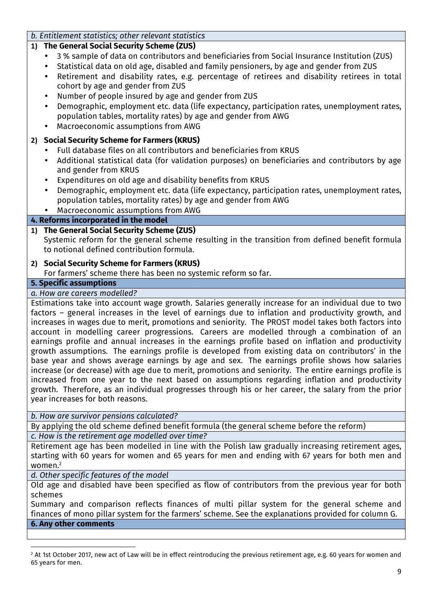### *b. Entitlement statistics; other relevant statistics*

### **1) The General Social Security Scheme (ZUS)**

- 3 % sample of data on contributors and beneficiaries from Social Insurance Institution (ZUS)
- Statistical data on old age, disabled and family pensioners, by age and gender from ZUS
- Retirement and disability rates, e.g. percentage of retirees and disability retirees in total cohort by age and gender from ZUS
- Number of people insured by age and gender from ZUS
- Demographic, employment etc. data (life expectancy, participation rates, unemployment rates, population tables, mortality rates) by age and gender from AWG
- Macroeconomic assumptions from AWG

### **2) Social Security Scheme for Farmers (KRUS)**

- Full database files on all contributors and beneficiaries from KRUS
- Additional statistical data (for validation purposes) on beneficiaries and contributors by age and gender from KRUS
- Expenditures on old age and disability benefits from KRUS
- Demographic, employment etc. data (life expectancy, participation rates, unemployment rates, population tables, mortality rates) by age and gender from AWG
- Macroeconomic assumptions from AWG

## **4. Reforms incorporated in the model**

### **1) The General Social Security Scheme (ZUS)**

Systemic reform for the general scheme resulting in the transition from defined benefit formula to notional defined contribution formula.

### **2) Social Security Scheme for Farmers (KRUS)**

For farmers' scheme there has been no systemic reform so far.

### **5. Specific assumptions**

### *a. How are careers modelled?*

Estimations take into account wage growth. Salaries generally increase for an individual due to two factors – general increases in the level of earnings due to inflation and productivity growth, and increases in wages due to merit, promotions and seniority. The PROST model takes both factors into account in modelling career progressions. Careers are modelled through a combination of an earnings profile and annual increases in the earnings profile based on inflation and productivity growth assumptions. The earnings profile is developed from existing data on contributors' in the base year and shows average earnings by age and sex. The earnings profile shows how salaries increase (or decrease) with age due to merit, promotions and seniority. The entire earnings profile is increased from one year to the next based on assumptions regarding inflation and productivity growth. Therefore, as an individual progresses through his or her career, the salary from the prior year increases for both reasons.

*b. How are survivor pensions calculated?*

By applying the old scheme defined benefit formula (the general scheme before the reform) *c. How is the retirement age modelled over time?*

Retirement age has been modelled in line with the Polish law gradually increasing retirement ages, starting with 60 years for women and 65 years for men and ending with 67 years for both men and women.<sup>2</sup>

*d. Other specific features of the model*

l

Old age and disabled have been specified as flow of contributors from the previous year for both schemes

Summary and comparison reflects finances of multi pillar system for the general scheme and finances of mono pillar system for the farmers' scheme. See the explanations provided for column G. **6. Any other comments**

<sup>2</sup> At 1st October 2017, new act of Law will be in effect reintroducing the previous retirement age, e.g. 60 years for women and 65 years for men.